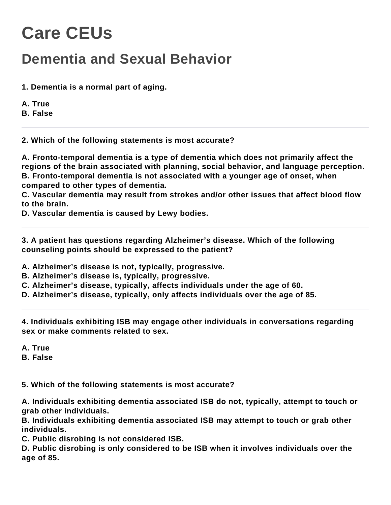## **Care CEUs**

## **Dementia and Sexual Behavior**

- **1. Dementia is a normal part of aging.**
- **A. True**

**B. False**

**2. Which of the following statements is most accurate?**

**A. Fronto-temporal dementia is a type of dementia which does not primarily affect the regions of the brain associated with planning, social behavior, and language perception. B. Fronto-temporal dementia is not associated with a younger age of onset, when compared to other types of dementia.**

**C. Vascular dementia may result from strokes and/or other issues that affect blood flow to the brain.**

**D. Vascular dementia is caused by Lewy bodies.**

**3. A patient has questions regarding Alzheimer's disease. Which of the following counseling points should be expressed to the patient?**

**A. Alzheimer's disease is not, typically, progressive.**

**B. Alzheimer's disease is, typically, progressive.**

**C. Alzheimer's disease, typically, affects individuals under the age of 60.**

**D. Alzheimer's disease, typically, only affects individuals over the age of 85.**

**4. Individuals exhibiting ISB may engage other individuals in conversations regarding sex or make comments related to sex.**

**A. True**

**B. False**

**5. Which of the following statements is most accurate?**

**A. Individuals exhibiting dementia associated ISB do not, typically, attempt to touch or grab other individuals.**

**B. Individuals exhibiting dementia associated ISB may attempt to touch or grab other individuals.**

**C. Public disrobing is not considered ISB.**

**D. Public disrobing is only considered to be ISB when it involves individuals over the age of 85.**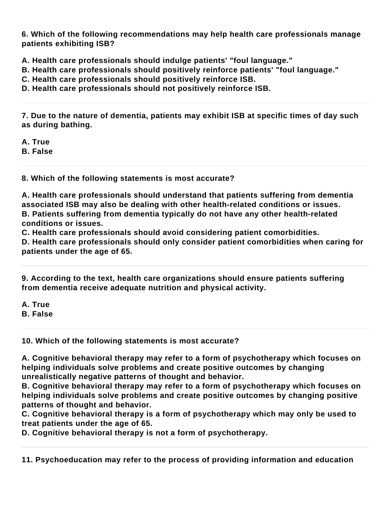**6. Which of the following recommendations may help health care professionals manage patients exhibiting ISB?**

**A. Health care professionals should indulge patients' "foul language."**

**B. Health care professionals should positively reinforce patients' "foul language."**

**C. Health care professionals should positively reinforce ISB.**

**D. Health care professionals should not positively reinforce ISB.**

**7. Due to the nature of dementia, patients may exhibit ISB at specific times of day such as during bathing.**

**A. True**

**B. False**

**8. Which of the following statements is most accurate?**

**A. Health care professionals should understand that patients suffering from dementia associated ISB may also be dealing with other health-related conditions or issues. B. Patients suffering from dementia typically do not have any other health-related conditions or issues.**

**C. Health care professionals should avoid considering patient comorbidities.**

**D. Health care professionals should only consider patient comorbidities when caring for patients under the age of 65.**

**9. According to the text, health care organizations should ensure patients suffering from dementia receive adequate nutrition and physical activity.**

**A. True**

**B. False**

**10. Which of the following statements is most accurate?**

**A. Cognitive behavioral therapy may refer to a form of psychotherapy which focuses on helping individuals solve problems and create positive outcomes by changing unrealistically negative patterns of thought and behavior.**

**B. Cognitive behavioral therapy may refer to a form of psychotherapy which focuses on helping individuals solve problems and create positive outcomes by changing positive patterns of thought and behavior.**

**C. Cognitive behavioral therapy is a form of psychotherapy which may only be used to treat patients under the age of 65.**

**D. Cognitive behavioral therapy is not a form of psychotherapy.**

**11. Psychoeducation may refer to the process of providing information and education**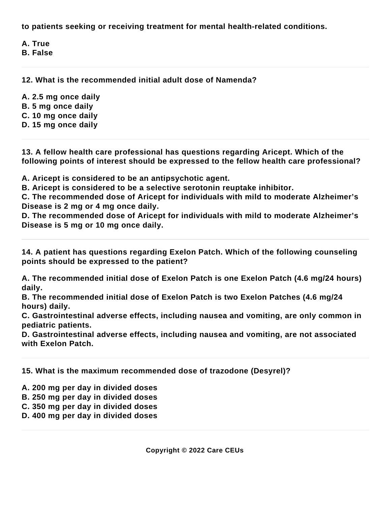**to patients seeking or receiving treatment for mental health-related conditions.**

**A. True**

**B. False**

**12. What is the recommended initial adult dose of Namenda?**

**A. 2.5 mg once daily**

- **B. 5 mg once daily**
- **C. 10 mg once daily**
- **D. 15 mg once daily**

**13. A fellow health care professional has questions regarding Aricept. Which of the following points of interest should be expressed to the fellow health care professional?**

**A. Aricept is considered to be an antipsychotic agent.**

**B. Aricept is considered to be a selective serotonin reuptake inhibitor.**

**C. The recommended dose of Aricept for individuals with mild to moderate Alzheimer's Disease is 2 mg or 4 mg once daily.**

**D. The recommended dose of Aricept for individuals with mild to moderate Alzheimer's Disease is 5 mg or 10 mg once daily.**

**14. A patient has questions regarding Exelon Patch. Which of the following counseling points should be expressed to the patient?**

**A. The recommended initial dose of Exelon Patch is one Exelon Patch (4.6 mg/24 hours) daily.**

**B. The recommended initial dose of Exelon Patch is two Exelon Patches (4.6 mg/24 hours) daily.**

**C. Gastrointestinal adverse effects, including nausea and vomiting, are only common in pediatric patients.**

**D. Gastrointestinal adverse effects, including nausea and vomiting, are not associated with Exelon Patch.**

**15. What is the maximum recommended dose of trazodone (Desyrel)?**

**A. 200 mg per day in divided doses**

**B. 250 mg per day in divided doses**

**C. 350 mg per day in divided doses**

**D. 400 mg per day in divided doses**